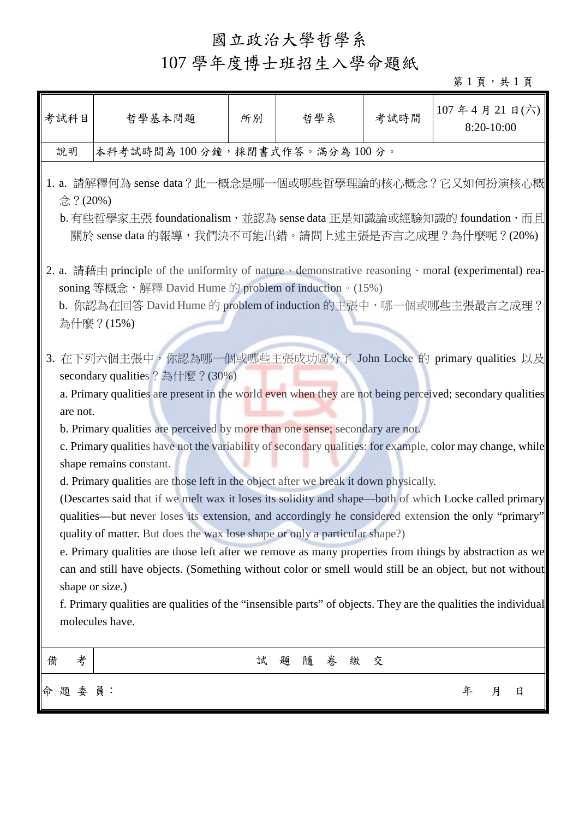## 國立政治大學哲學系

## 107 學年度博士班招生入學命題紙

 $$1$ 頁,共 $1$ 頁

| 考試科目                                                                                                                                                                                                                                                                                                                                                                                                                                                                                                                                                                                                                                                                                                                                                                                                                                                                                                                                                                                                                                                                                                                                                                                                                          | 哲學基本問題                                                                                                                                                                                                                                                       | 所別 | 哲學系              | 考試時間 |   | $107$ 年 4 月 21 日(六)<br>8:20-10:00 |  |  |  |  |
|-------------------------------------------------------------------------------------------------------------------------------------------------------------------------------------------------------------------------------------------------------------------------------------------------------------------------------------------------------------------------------------------------------------------------------------------------------------------------------------------------------------------------------------------------------------------------------------------------------------------------------------------------------------------------------------------------------------------------------------------------------------------------------------------------------------------------------------------------------------------------------------------------------------------------------------------------------------------------------------------------------------------------------------------------------------------------------------------------------------------------------------------------------------------------------------------------------------------------------|--------------------------------------------------------------------------------------------------------------------------------------------------------------------------------------------------------------------------------------------------------------|----|------------------|------|---|-----------------------------------|--|--|--|--|
| 說明                                                                                                                                                                                                                                                                                                                                                                                                                                                                                                                                                                                                                                                                                                                                                                                                                                                                                                                                                                                                                                                                                                                                                                                                                            | 本科考試時間為100分鐘,採閉書式作答。滿分為100分。                                                                                                                                                                                                                                 |    |                  |      |   |                                   |  |  |  |  |
|                                                                                                                                                                                                                                                                                                                                                                                                                                                                                                                                                                                                                                                                                                                                                                                                                                                                                                                                                                                                                                                                                                                                                                                                                               | 1. a. 請解釋何為 sense data?此一概念是哪一個或哪些哲學理論的核心概念?它又如何扮演核心概<br>念?(20%)<br>b. 有些哲學家主張 foundationalism,並認為 sense data 正是知識論或經驗知識的 foundation,而且<br>關於 sense data 的報導,我們決不可能出錯。請問上述主張是否言之成理?為什麼呢?(20%)                                                                |    |                  |      |   |                                   |  |  |  |  |
|                                                                                                                                                                                                                                                                                                                                                                                                                                                                                                                                                                                                                                                                                                                                                                                                                                                                                                                                                                                                                                                                                                                                                                                                                               | 2. a. 請藉由 principle of the uniformity of nature $\cdot$ demonstrative reasoning $\cdot$ moral (experimental) rea-<br>soning 等概念, 解釋 David Hume 的 problem of induction。(15%)<br>b. 你認為在回答 David Hume 的 problem of induction 的主張中, 哪一個或哪些主張最言之成理?<br>為什麼?(15%) |    |                  |      |   |                                   |  |  |  |  |
| 3. 在下列六個主張中, 你認為哪一個或哪些主張成功區分了 John Locke 的 primary qualities 以及<br>secondary qualities ? 為什麼 ? (30%)<br>a. Primary qualities are present in the world even when they are not being perceived; secondary qualities<br>are not.<br>b. Primary qualities are perceived by more than one sense; secondary are not.<br>c. Primary qualities have not the variability of secondary qualities: for example, color may change, while<br>shape remains constant.<br>d. Primary qualities are those left in the object after we break it down physically.<br>(Descartes said that if we melt wax it loses its solidity and shape—both of which Locke called primary<br>qualities—but never loses its extension, and accordingly he considered extension the only "primary"<br>quality of matter. But does the wax lose shape or only a particular shape?)<br>e. Primary qualities are those left after we remove as many properties from things by abstraction as we<br>can and still have objects. (Something without color or smell would still be an object, but not without<br>shape or size.)<br>f. Primary qualities are qualities of the "insensible parts" of objects. They are the qualities the individual<br>molecules have. |                                                                                                                                                                                                                                                              |    |                  |      |   |                                   |  |  |  |  |
| 考<br>備                                                                                                                                                                                                                                                                                                                                                                                                                                                                                                                                                                                                                                                                                                                                                                                                                                                                                                                                                                                                                                                                                                                                                                                                                        |                                                                                                                                                                                                                                                              | 試  | 卷<br>題<br>隨<br>繳 | 交    |   |                                   |  |  |  |  |
| 命題委員:                                                                                                                                                                                                                                                                                                                                                                                                                                                                                                                                                                                                                                                                                                                                                                                                                                                                                                                                                                                                                                                                                                                                                                                                                         |                                                                                                                                                                                                                                                              |    |                  |      | 年 | 月<br>日                            |  |  |  |  |